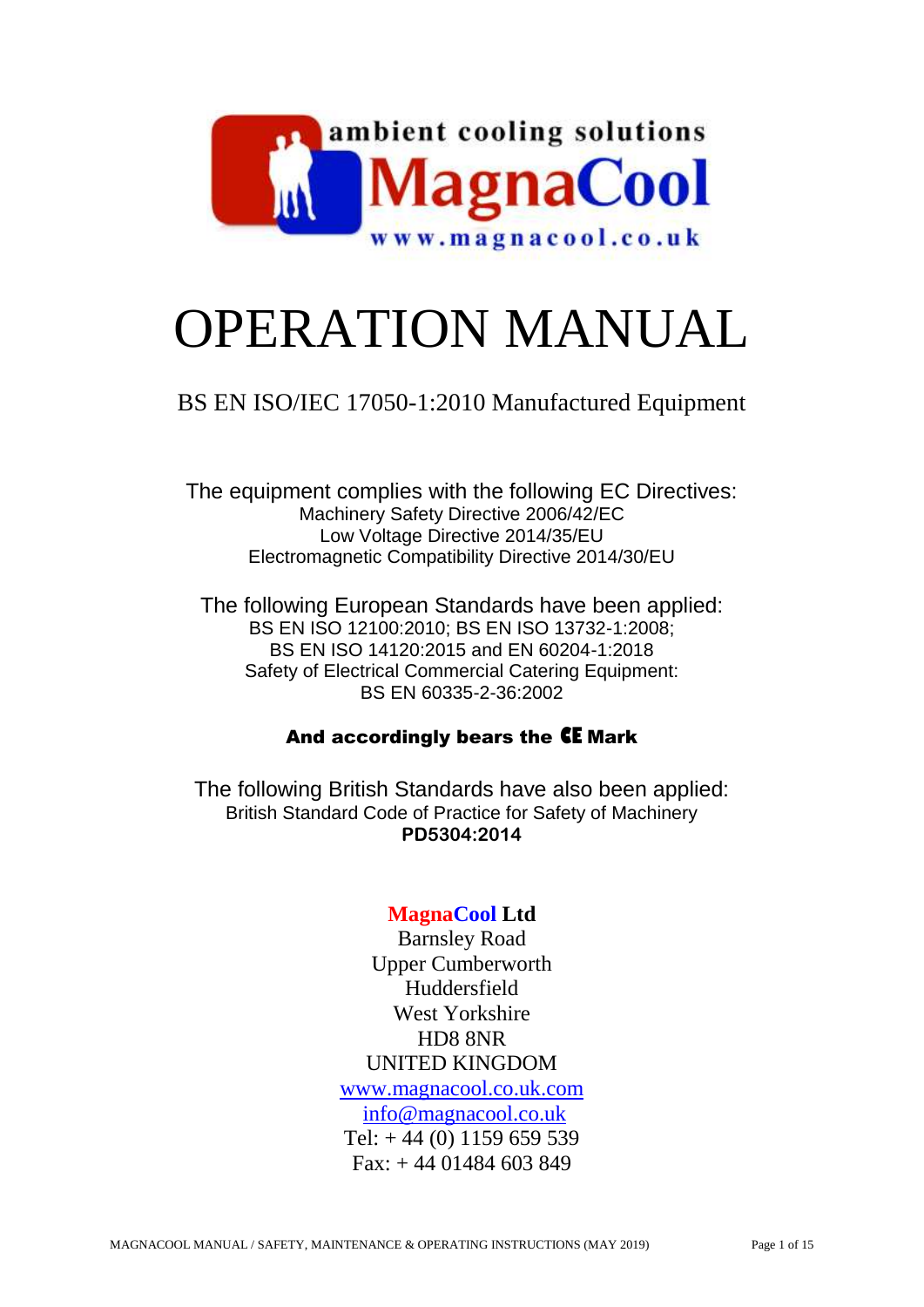

# OPERATION MANUAL

# BS EN ISO/IEC 17050-1:2010 Manufactured Equipment

The equipment complies with the following EC Directives: Machinery Safety Directive 2006/42/EC Low Voltage Directive 2014/35/EU Electromagnetic Compatibility Directive 2014/30/EU

The following European Standards have been applied: BS EN ISO 12100:2010; BS EN ISO 13732-1:2008; BS EN ISO 14120:2015 and EN 60204-1:2018 Safety of Electrical Commercial Catering Equipment: BS EN 60335-2-36:2002

# And accordingly bears the **CE** Mark

The following British Standards have also been applied: British Standard Code of Practice for Safety of Machinery **PD5304:2014**

# **MagnaCool Ltd**

Barnsley Road Upper Cumberworth Huddersfield West Yorkshire HD8 8NR UNITED KINGDOM [www.magnacool.co.uk.com](http://www.magnacool.co.uk.com/) [info@magnacool.co.uk](mailto:info@magnacool.co.uk) Tel:  $+44(0)$  1159 659 539 Fax: + 44 01484 603 849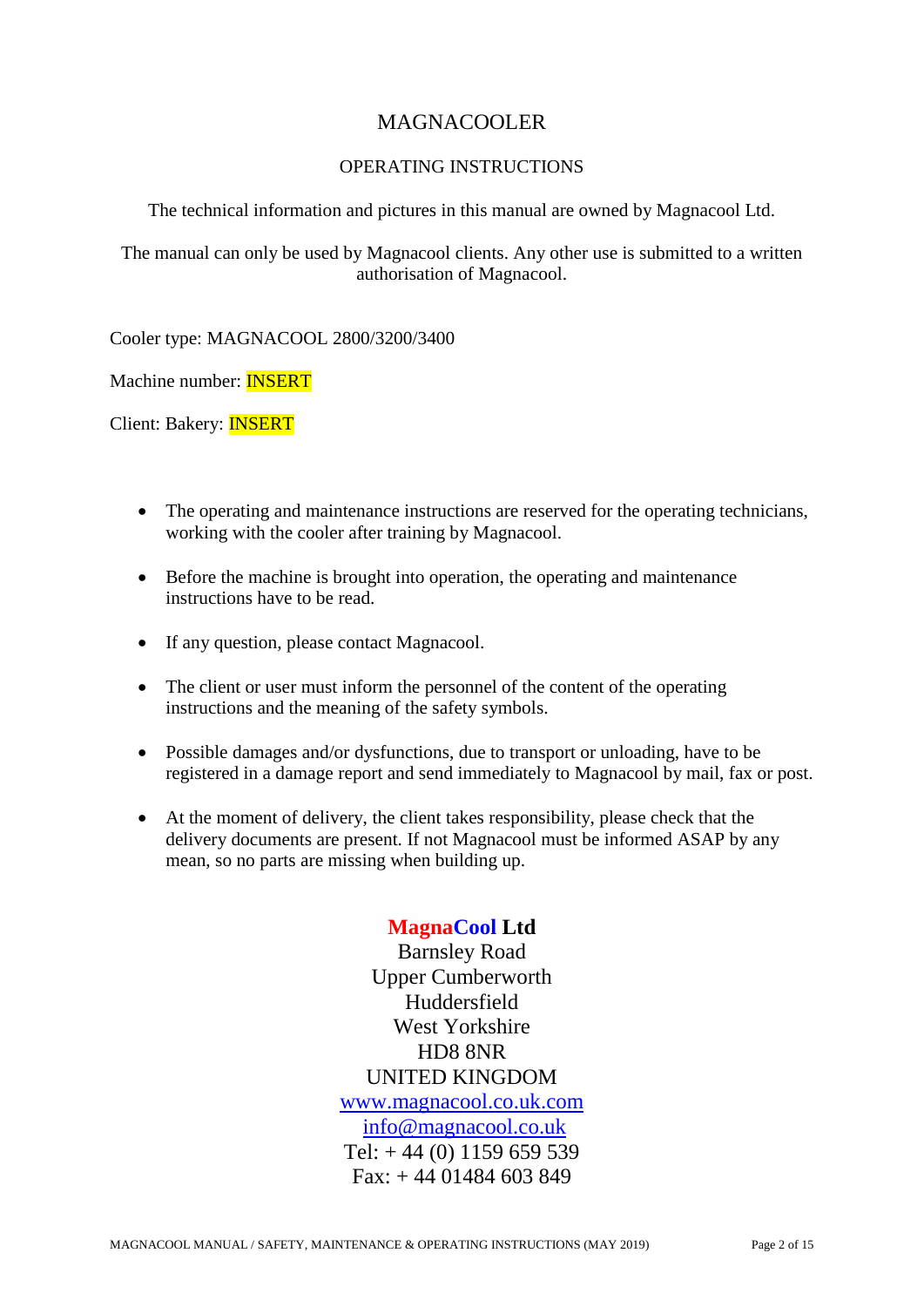# MAGNACOOLER

#### OPERATING INSTRUCTIONS

The technical information and pictures in this manual are owned by Magnacool Ltd.

The manual can only be used by Magnacool clients. Any other use is submitted to a written authorisation of Magnacool.

Cooler type: MAGNACOOL 2800/3200/3400

Machine number: INSERT

Client: Bakery: INSERT

- The operating and maintenance instructions are reserved for the operating technicians, working with the cooler after training by Magnacool.
- Before the machine is brought into operation, the operating and maintenance instructions have to be read.
- If any question, please contact Magnacool.
- The client or user must inform the personnel of the content of the operating instructions and the meaning of the safety symbols.
- Possible damages and/or dysfunctions, due to transport or unloading, have to be registered in a damage report and send immediately to Magnacool by mail, fax or post.
- At the moment of delivery, the client takes responsibility, please check that the delivery documents are present. If not Magnacool must be informed ASAP by any mean, so no parts are missing when building up.

### **MagnaCool Ltd**

Barnsley Road Upper Cumberworth **Huddersfield** West Yorkshire HD8 8NR UNITED KINGDOM [www.magnacool.co.uk.com](http://www.magnacool.co.uk.com/) [info@magnacool.co.uk](mailto:info@magnacool.co.uk) Tel:  $+44(0)$  1159 659 539  $Fax + 4401484603849$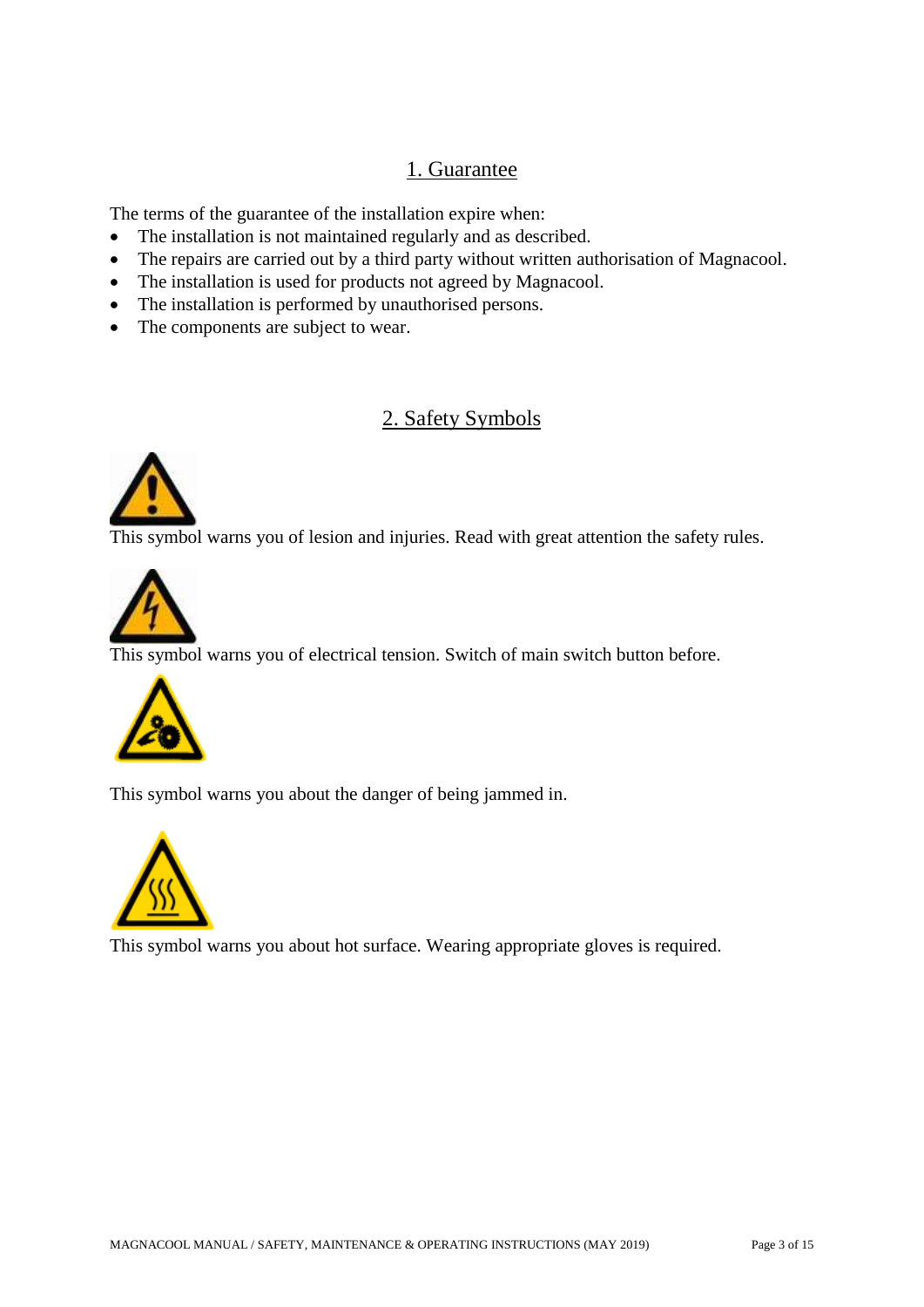# 1. Guarantee

The terms of the guarantee of the installation expire when:

- The installation is not maintained regularly and as described.
- The repairs are carried out by a third party without written authorisation of Magnacool.
- The installation is used for products not agreed by Magnacool.
- The installation is performed by unauthorised persons.
- The components are subject to wear.

# 2. Safety Symbols



This symbol warns you of lesion and injuries. Read with great attention the safety rules.



This symbol warns you of electrical tension. Switch of main switch button before.



This symbol warns you about the danger of being jammed in.



This symbol warns you about hot surface. Wearing appropriate gloves is required.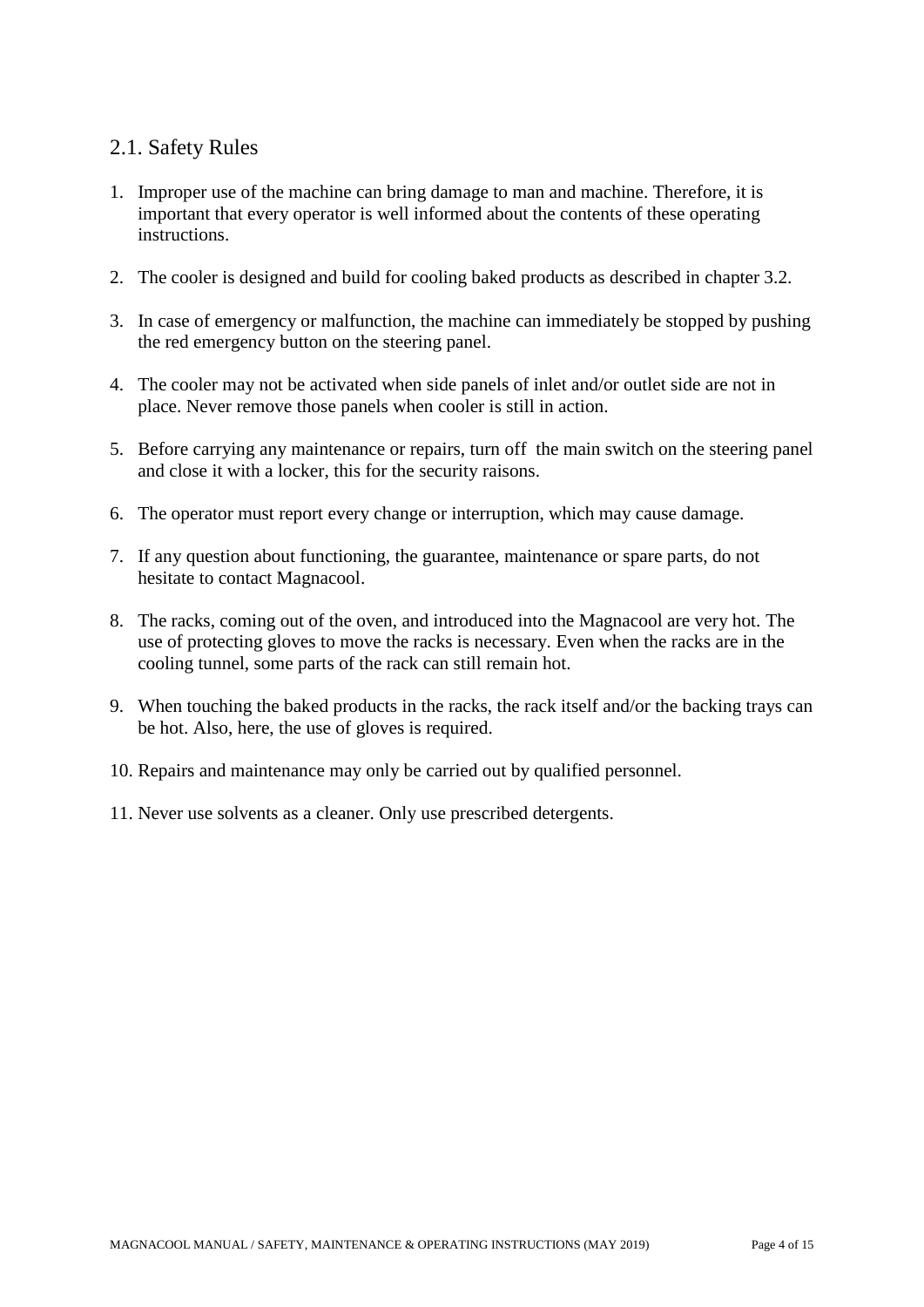# 2.1. Safety Rules

- 1. Improper use of the machine can bring damage to man and machine. Therefore, it is important that every operator is well informed about the contents of these operating instructions.
- 2. The cooler is designed and build for cooling baked products as described in chapter 3.2.
- 3. In case of emergency or malfunction, the machine can immediately be stopped by pushing the red emergency button on the steering panel.
- 4. The cooler may not be activated when side panels of inlet and/or outlet side are not in place. Never remove those panels when cooler is still in action.
- 5. Before carrying any maintenance or repairs, turn off the main switch on the steering panel and close it with a locker, this for the security raisons.
- 6. The operator must report every change or interruption, which may cause damage.
- 7. If any question about functioning, the guarantee, maintenance or spare parts, do not hesitate to contact Magnacool.
- 8. The racks, coming out of the oven, and introduced into the Magnacool are very hot. The use of protecting gloves to move the racks is necessary. Even when the racks are in the cooling tunnel, some parts of the rack can still remain hot.
- 9. When touching the baked products in the racks, the rack itself and/or the backing trays can be hot. Also, here, the use of gloves is required.
- 10. Repairs and maintenance may only be carried out by qualified personnel.
- 11. Never use solvents as a cleaner. Only use prescribed detergents.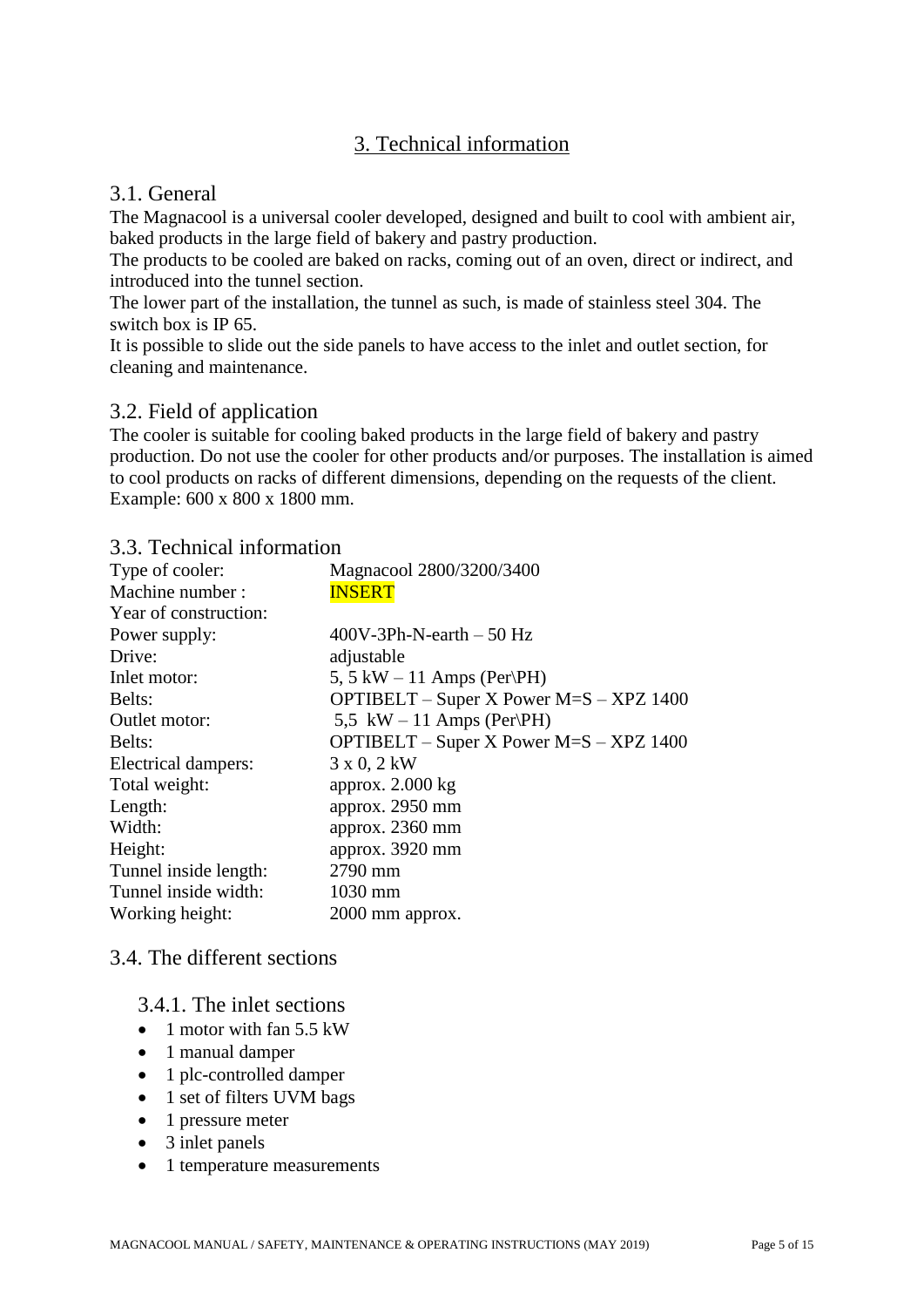# 3. Technical information

#### 3.1. General

The Magnacool is a universal cooler developed, designed and built to cool with ambient air, baked products in the large field of bakery and pastry production.

The products to be cooled are baked on racks, coming out of an oven, direct or indirect, and introduced into the tunnel section.

The lower part of the installation, the tunnel as such, is made of stainless steel 304. The switch box is IP 65.

It is possible to slide out the side panels to have access to the inlet and outlet section, for cleaning and maintenance.

#### 3.2. Field of application

The cooler is suitable for cooling baked products in the large field of bakery and pastry production. Do not use the cooler for other products and/or purposes. The installation is aimed to cool products on racks of different dimensions, depending on the requests of the client. Example: 600 x 800 x 1800 mm.

#### 3.3. Technical information

| Type of cooler:       | Magnacool 2800/3200/3400                         |
|-----------------------|--------------------------------------------------|
| Machine number:       | <b>INSERT</b>                                    |
| Year of construction: |                                                  |
| Power supply:         | $400V-3Ph-N-earth-50 Hz$                         |
| Drive:                | adjustable                                       |
| Inlet motor:          | 5, 5 kW $-$ 11 Amps (Per\PH)                     |
| Belts:                | OPTIBELT – Super X Power $M=S - XPZ$ 1400        |
| Outlet motor:         | 5,5 kW $-$ 11 Amps (Per\PH)                      |
| Belts:                | <b>OPTIBELT</b> – Super X Power $M=S - XPZ$ 1400 |
| Electrical dampers:   | 3 x 0, 2 kW                                      |
| Total weight:         | approx. $2.000$ kg                               |
| Length:               | approx. 2950 mm                                  |
| Width:                | approx. 2360 mm                                  |
| Height:               | approx. 3920 mm                                  |
| Tunnel inside length: | 2790 mm                                          |
| Tunnel inside width:  | 1030 mm                                          |
| Working height:       | 2000 mm approx.                                  |
|                       |                                                  |

#### 3.4. The different sections

3.4.1. The inlet sections

- $\bullet$  1 motor with fan 5.5 kW
- 1 manual damper
- 1 plc-controlled damper
- 1 set of filters UVM bags
- 1 pressure meter
- 3 inlet panels
- 1 temperature measurements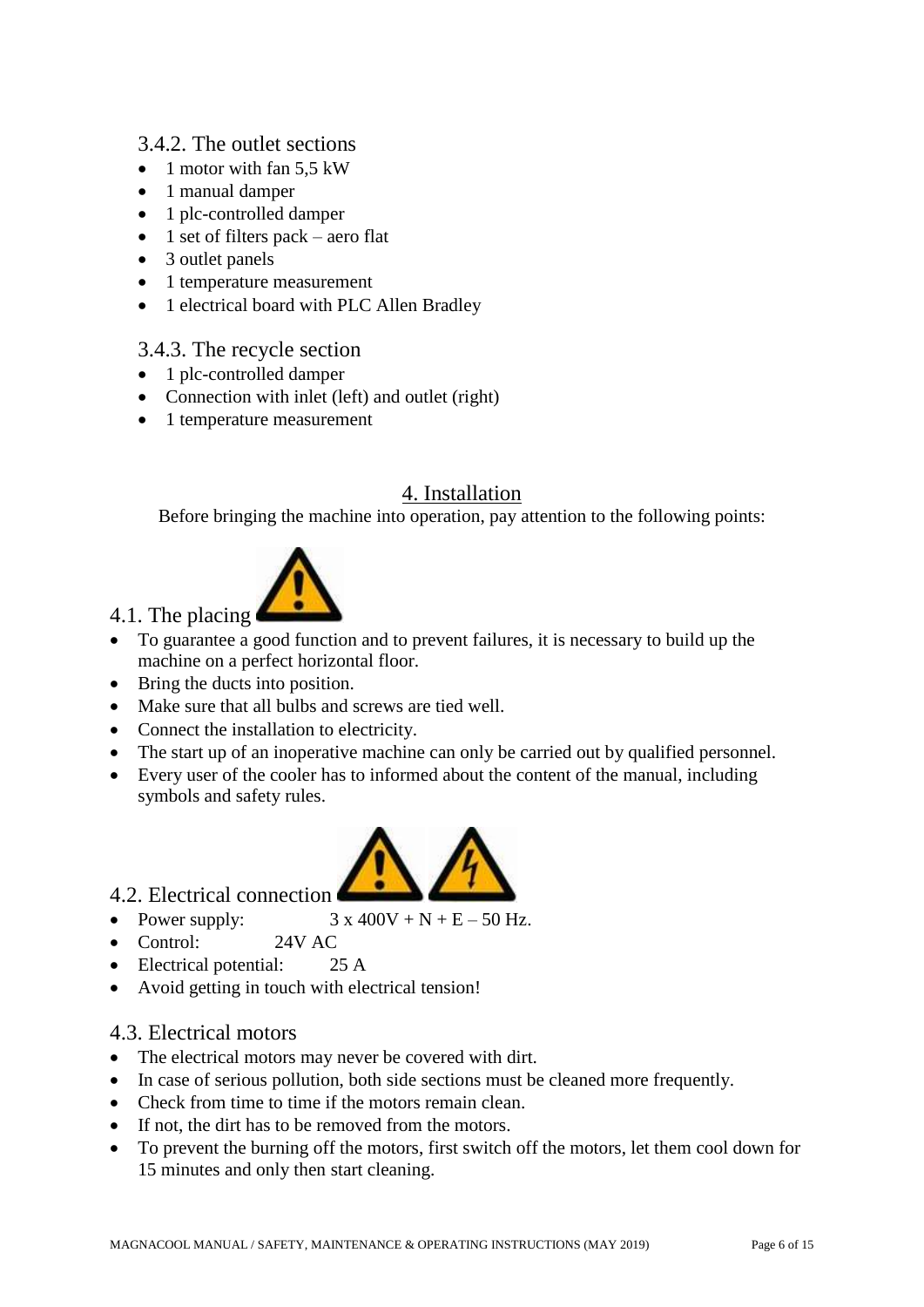#### 3.4.2. The outlet sections

- $\bullet$  1 motor with fan 5.5 kW
- 1 manual damper
- 1 plc-controlled damper
- $\bullet$  1 set of filters pack aero flat
- 3 outlet panels
- 1 temperature measurement
- 1 electrical board with PLC Allen Bradley

### 3.4.3. The recycle section

- 1 plc-controlled damper
- Connection with inlet (left) and outlet (right)
- 1 temperature measurement

# 4. Installation

Before bringing the machine into operation, pay attention to the following points:



- To guarantee a good function and to prevent failures, it is necessary to build up the machine on a perfect horizontal floor.
- Bring the ducts into position.
- Make sure that all bulbs and screws are tied well.
- Connect the installation to electricity.
- The start up of an inoperative machine can only be carried out by qualified personnel.
- Every user of the cooler has to informed about the content of the manual, including symbols and safety rules.



- 4.2. Electrical connection
- Power supply:  $3 \times 400V + N + E 50 Hz$ .
- Control: 24V AC
- Electrical potential: 25 A
- Avoid getting in touch with electrical tension!

### 4.3. Electrical motors

- The electrical motors may never be covered with dirt.
- In case of serious pollution, both side sections must be cleaned more frequently.
- Check from time to time if the motors remain clean.
- If not, the dirt has to be removed from the motors.
- To prevent the burning off the motors, first switch off the motors, let them cool down for 15 minutes and only then start cleaning.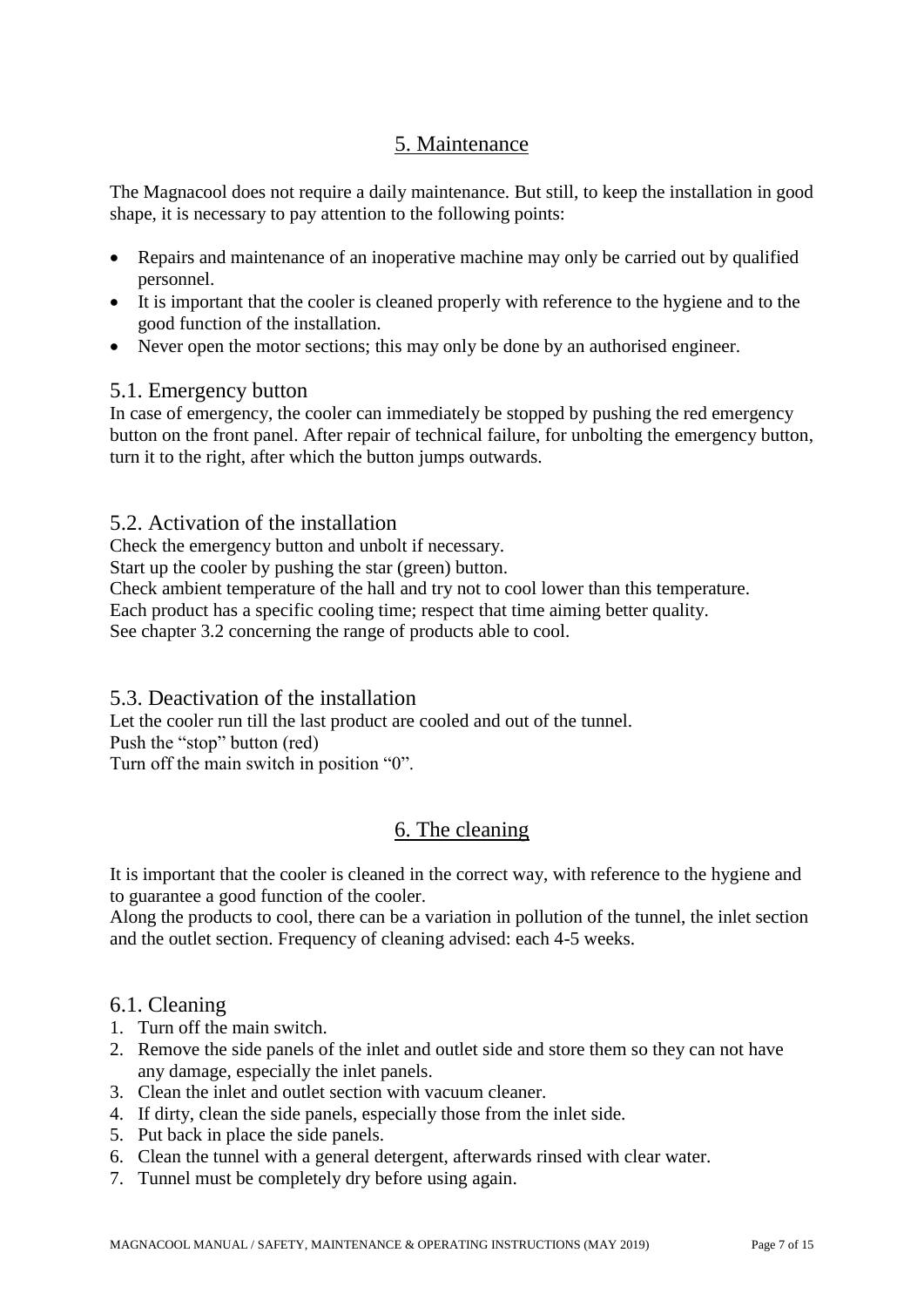# 5. Maintenance

The Magnacool does not require a daily maintenance. But still, to keep the installation in good shape, it is necessary to pay attention to the following points:

- Repairs and maintenance of an inoperative machine may only be carried out by qualified personnel.
- It is important that the cooler is cleaned properly with reference to the hygiene and to the good function of the installation.
- Never open the motor sections; this may only be done by an authorised engineer.

#### 5.1. Emergency button

In case of emergency, the cooler can immediately be stopped by pushing the red emergency button on the front panel. After repair of technical failure, for unbolting the emergency button, turn it to the right, after which the button jumps outwards.

#### 5.2. Activation of the installation

Check the emergency button and unbolt if necessary.

Start up the cooler by pushing the star (green) button.

Check ambient temperature of the hall and try not to cool lower than this temperature.

Each product has a specific cooling time; respect that time aiming better quality.

See chapter 3.2 concerning the range of products able to cool.

5.3. Deactivation of the installation

Let the cooler run till the last product are cooled and out of the tunnel.

Push the "stop" button (red)

Turn off the main switch in position "0".

# 6. The cleaning

It is important that the cooler is cleaned in the correct way, with reference to the hygiene and to guarantee a good function of the cooler.

Along the products to cool, there can be a variation in pollution of the tunnel, the inlet section and the outlet section. Frequency of cleaning advised: each 4-5 weeks.

#### 6.1. Cleaning

- 1. Turn off the main switch.
- 2. Remove the side panels of the inlet and outlet side and store them so they can not have any damage, especially the inlet panels.
- 3. Clean the inlet and outlet section with vacuum cleaner.
- 4. If dirty, clean the side panels, especially those from the inlet side.
- 5. Put back in place the side panels.
- 6. Clean the tunnel with a general detergent, afterwards rinsed with clear water.
- 7. Tunnel must be completely dry before using again.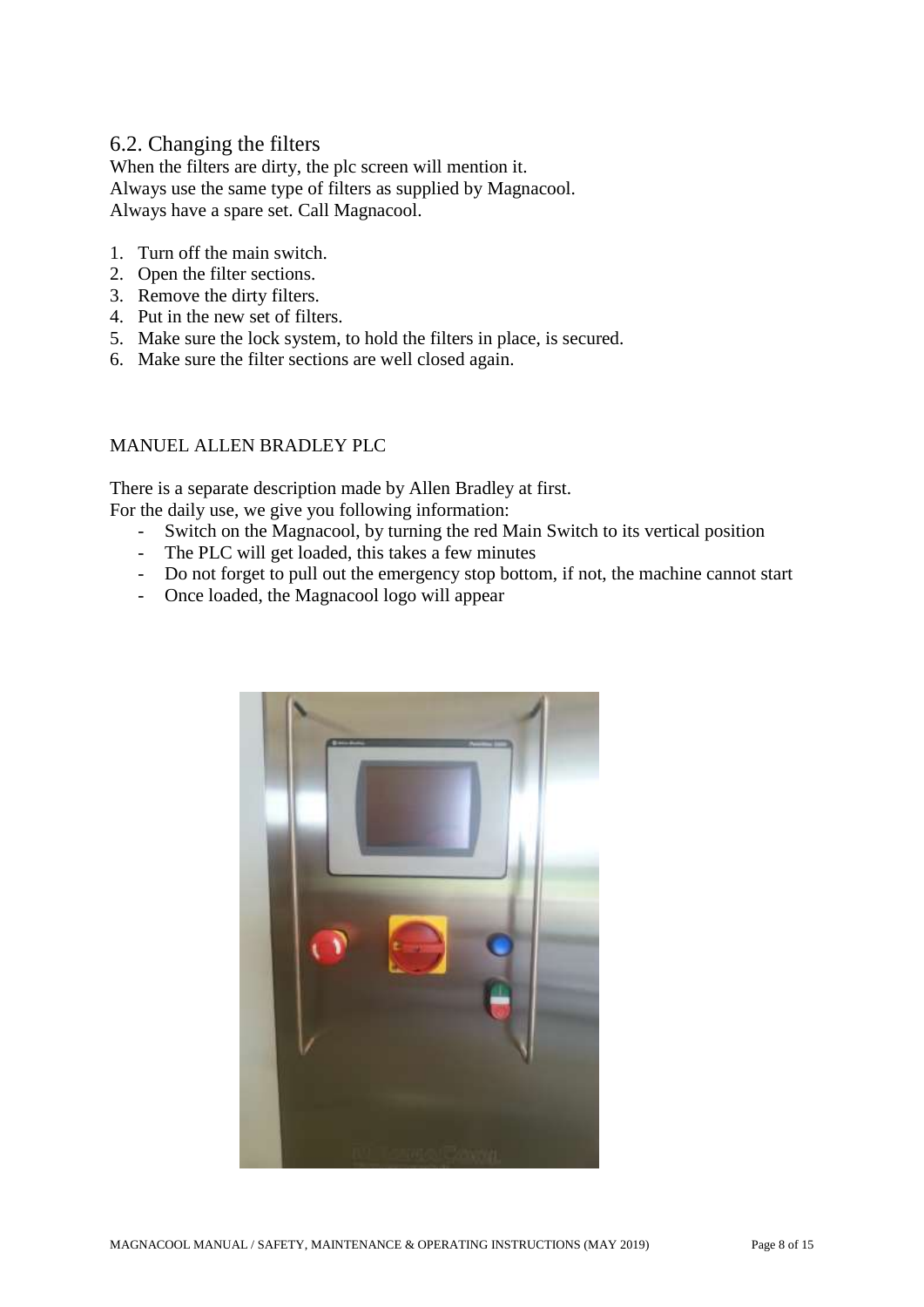#### 6.2. Changing the filters

When the filters are dirty, the plc screen will mention it. Always use the same type of filters as supplied by Magnacool. Always have a spare set. Call Magnacool.

- 1. Turn off the main switch.
- 2. Open the filter sections.
- 3. Remove the dirty filters.
- 4. Put in the new set of filters.
- 5. Make sure the lock system, to hold the filters in place, is secured.
- 6. Make sure the filter sections are well closed again.

#### MANUEL ALLEN BRADLEY PLC

There is a separate description made by Allen Bradley at first. For the daily use, we give you following information:

- Switch on the Magnacool, by turning the red Main Switch to its vertical position
- The PLC will get loaded, this takes a few minutes
- Do not forget to pull out the emergency stop bottom, if not, the machine cannot start
- Once loaded, the Magnacool logo will appear

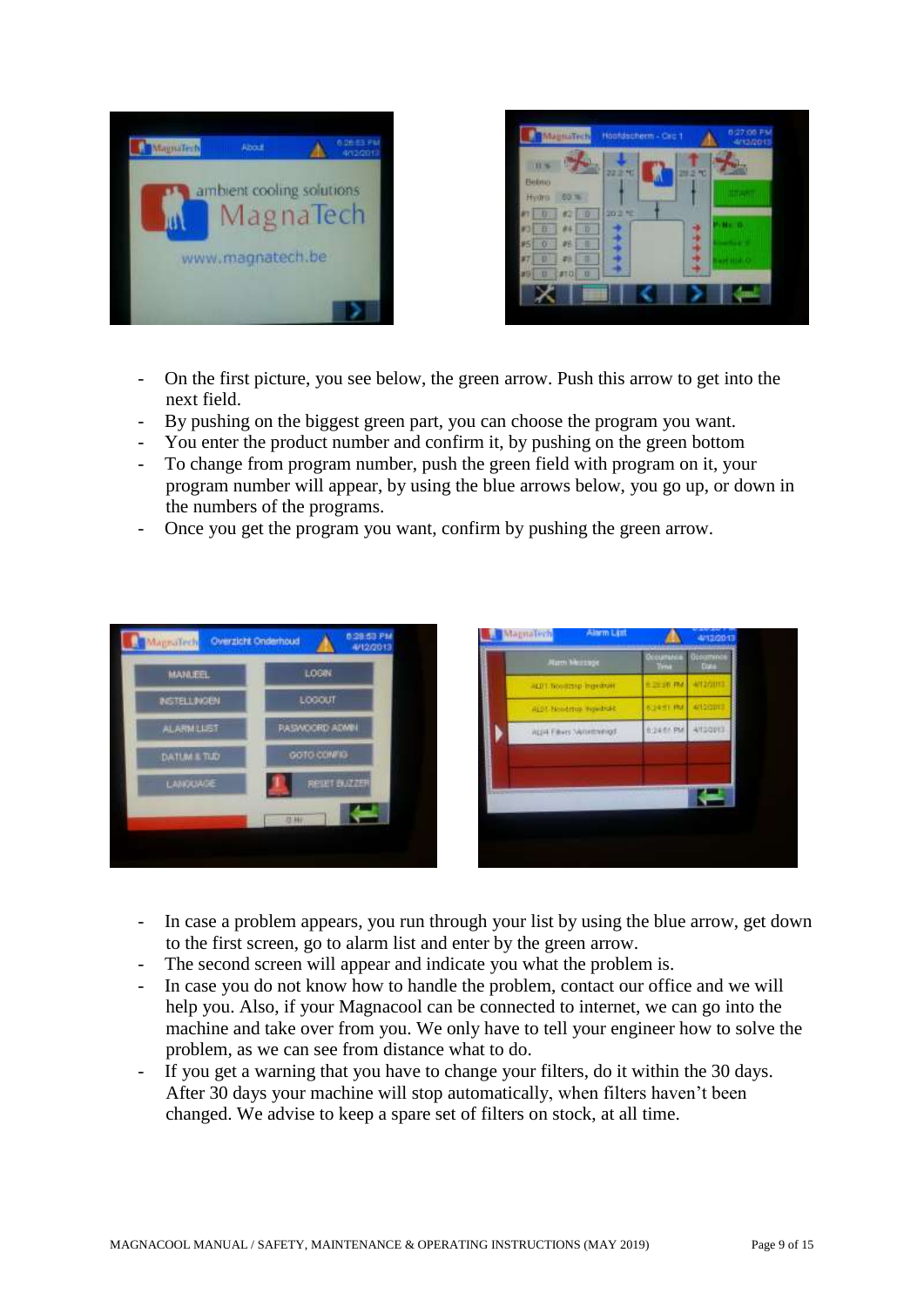



- On the first picture, you see below, the green arrow. Push this arrow to get into the next field.
- By pushing on the biggest green part, you can choose the program you want.
- You enter the product number and confirm it, by pushing on the green bottom
- To change from program number, push the green field with program on it, your program number will appear, by using the blue arrows below, you go up, or down in the numbers of the programs.
- Once you get the program you want, confirm by pushing the green arrow.



| <b>Alam Mezzage</b>        | <b>political district</b><br>Occurrence<br>lima | Geographia<br>Digit |
|----------------------------|-------------------------------------------------|---------------------|
| ALIT. Nonthap Ingelbum     | 8.2930.RM                                       | WEBSITE             |
| ALD! Needrhop repeatable   | <b>BORNTONI</b>                                 | 4/10/2012           |
| ALD4 Filters Networkeringd | 8/24 61 PM                                      | Altaquia            |
|                            |                                                 |                     |
|                            |                                                 |                     |
|                            |                                                 |                     |

- In case a problem appears, you run through your list by using the blue arrow, get down to the first screen, go to alarm list and enter by the green arrow.
- The second screen will appear and indicate you what the problem is.
- In case you do not know how to handle the problem, contact our office and we will help you. Also, if your Magnacool can be connected to internet, we can go into the machine and take over from you. We only have to tell your engineer how to solve the problem, as we can see from distance what to do.
- If you get a warning that you have to change your filters, do it within the 30 days. After 30 days your machine will stop automatically, when filters haven't been changed. We advise to keep a spare set of filters on stock, at all time.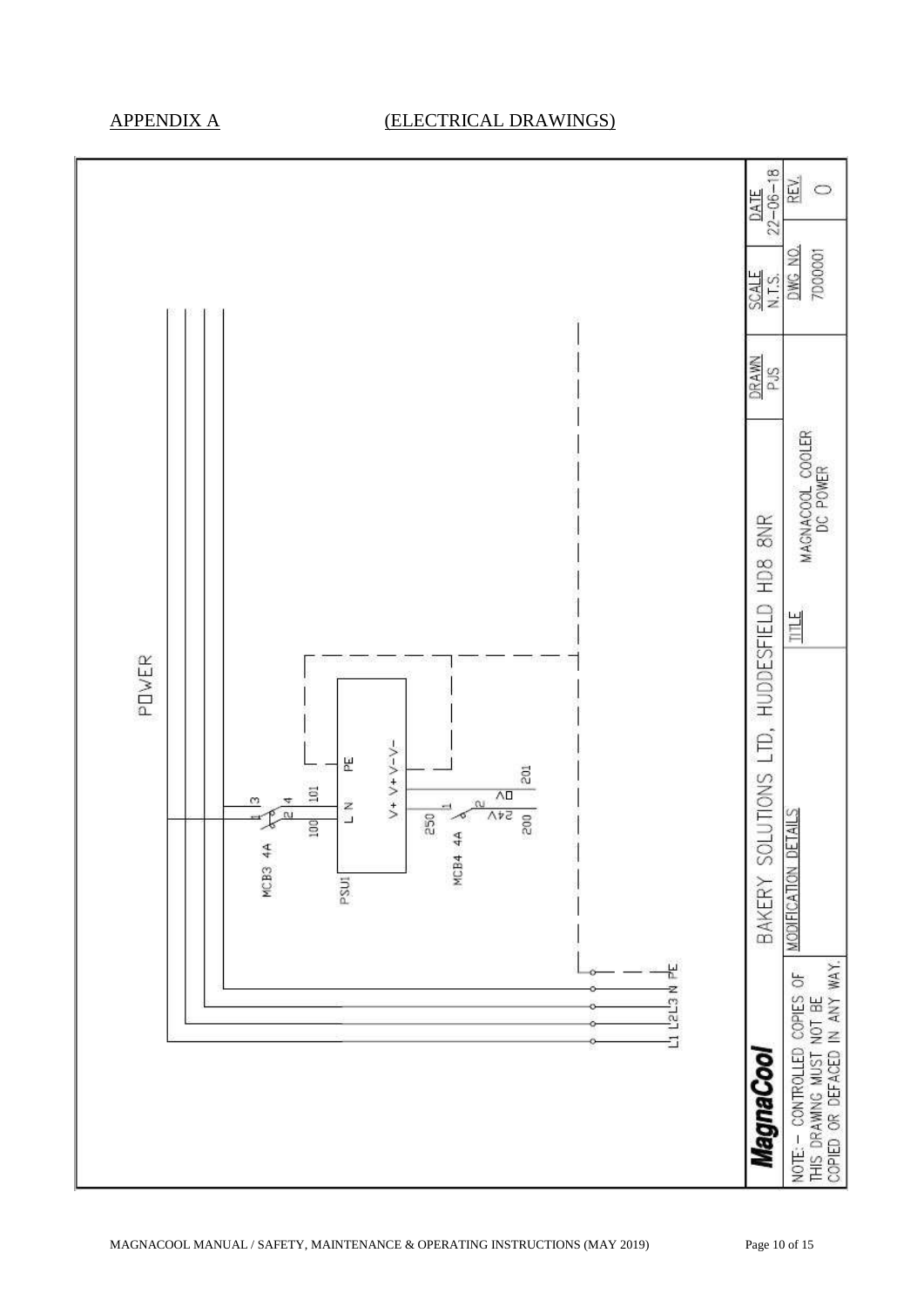# APPENDIX A (ELECTRICAL DRAWINGS)

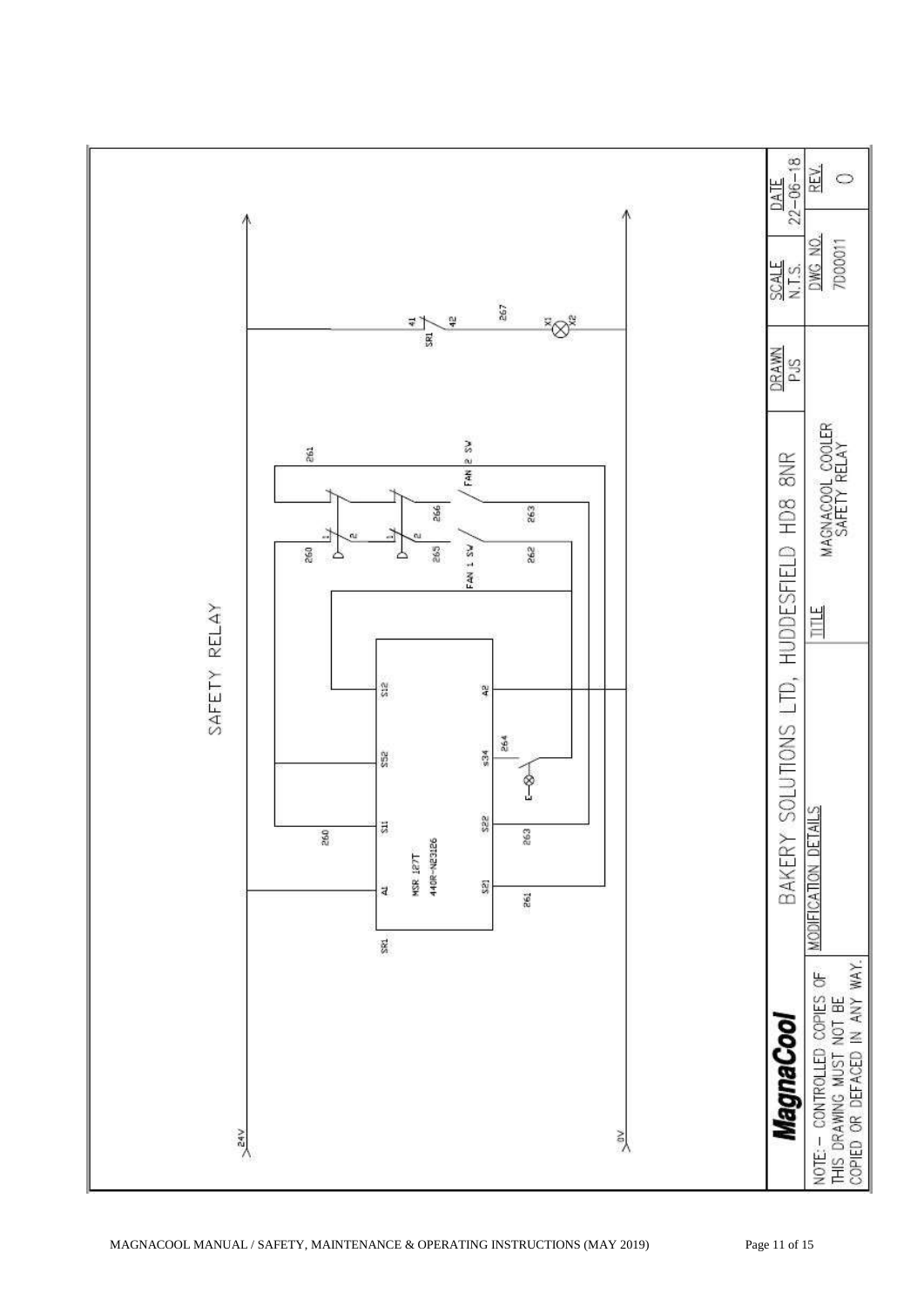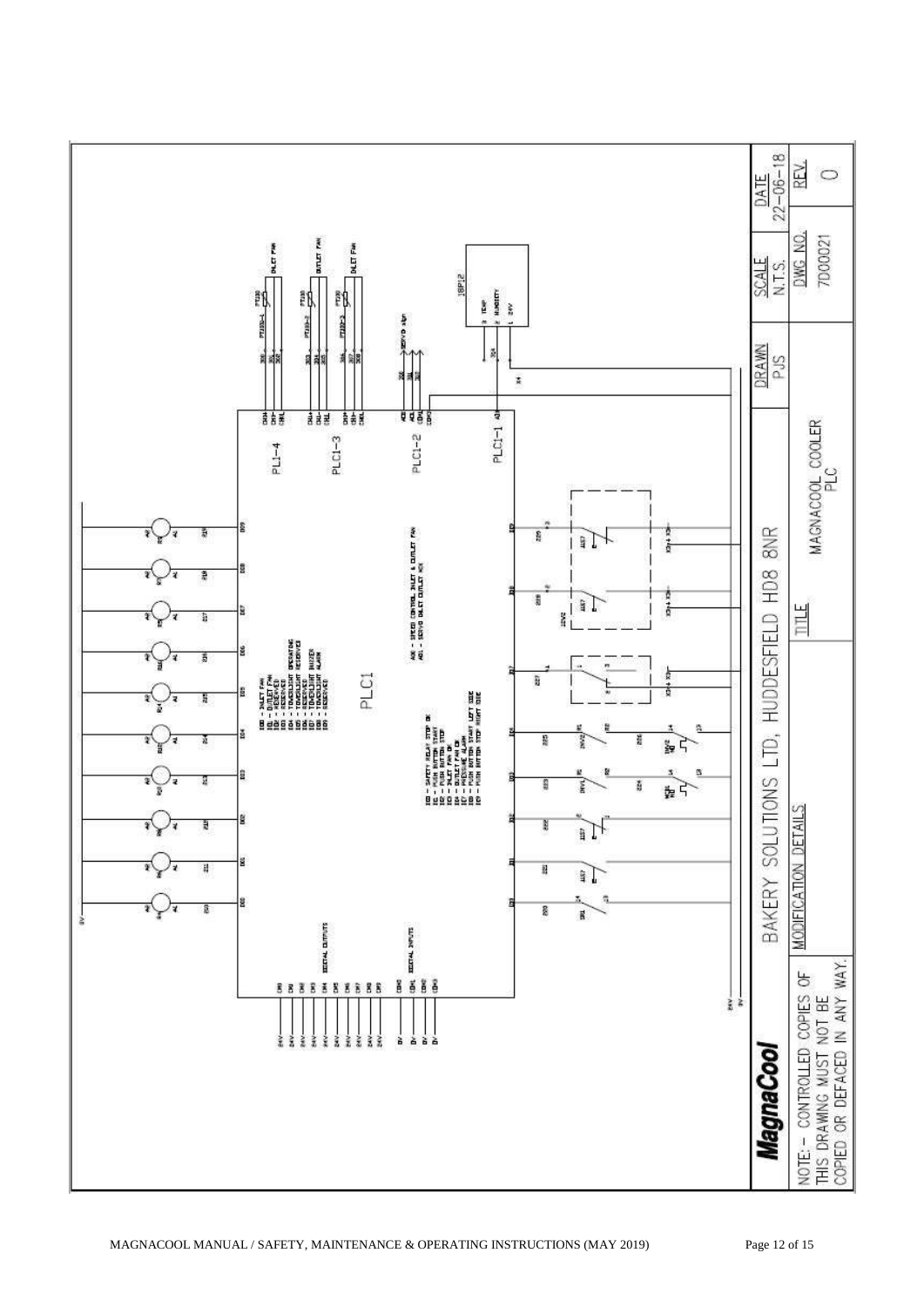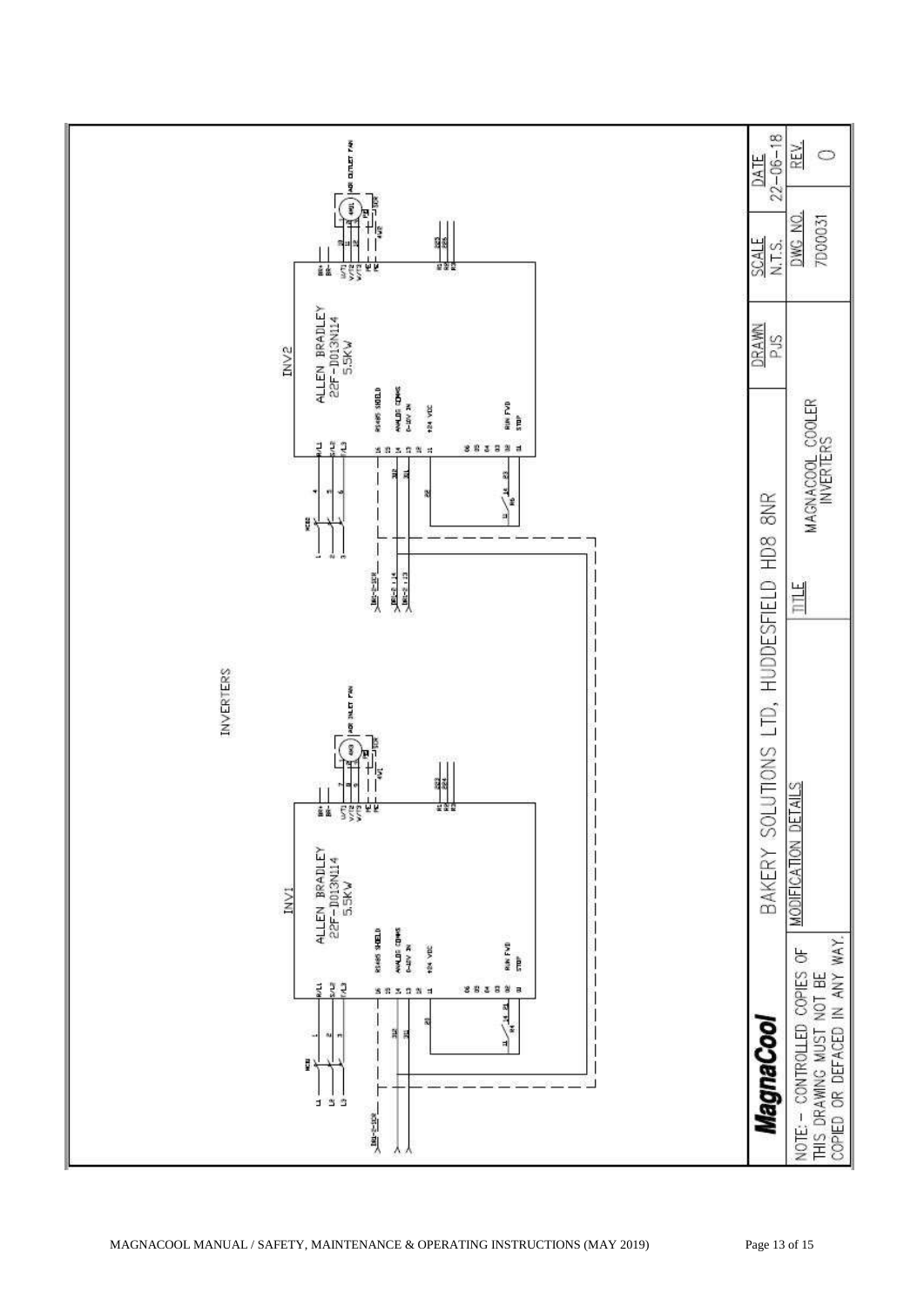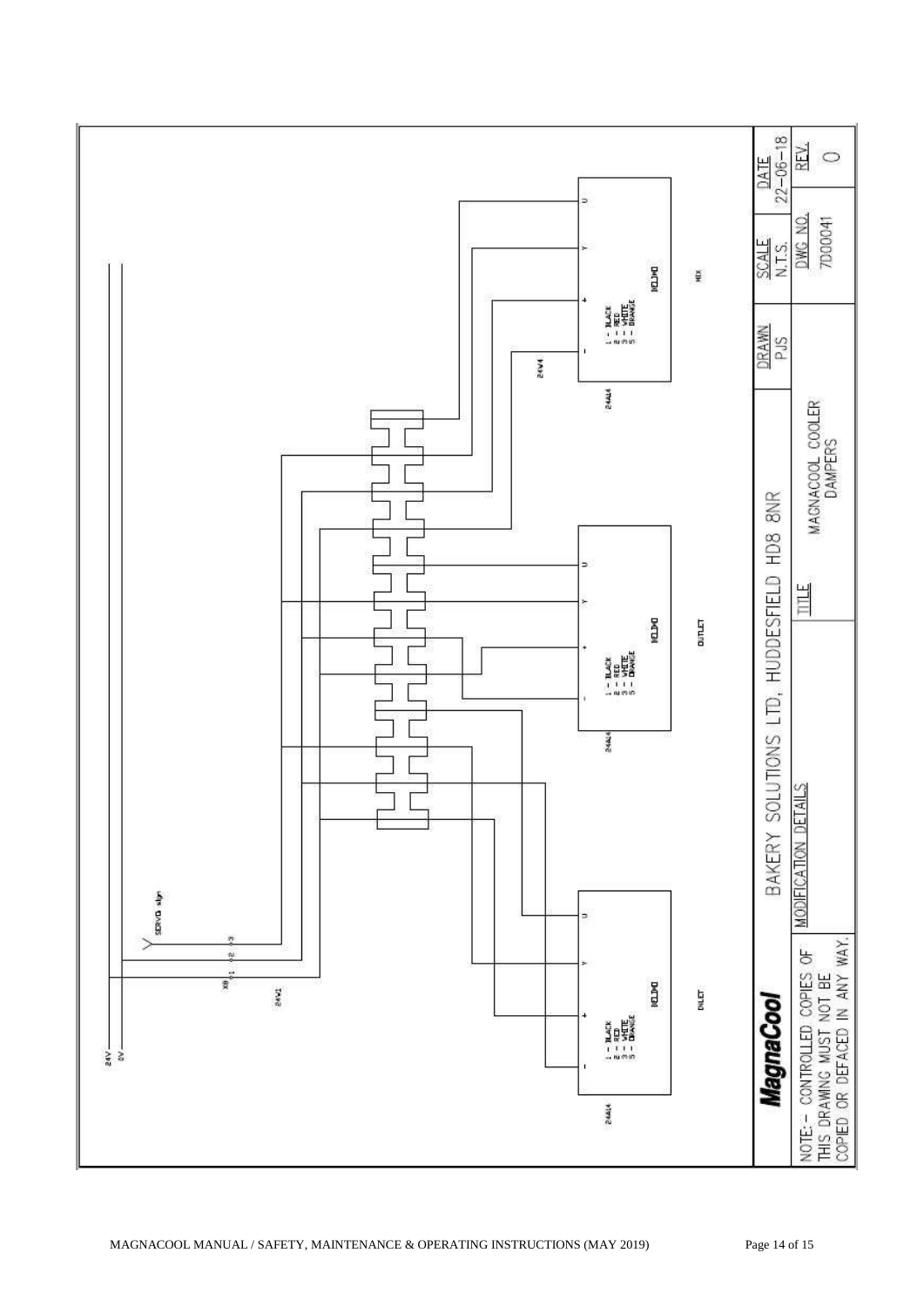